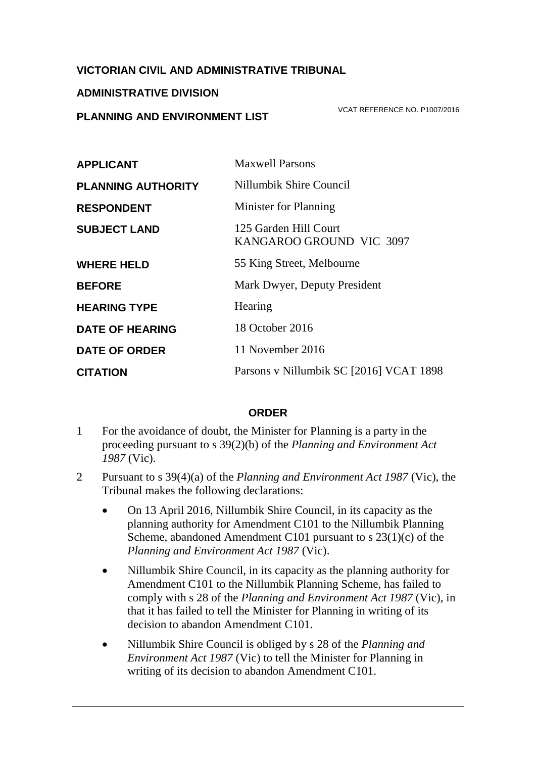## **VICTORIAN CIVIL AND ADMINISTRATIVE TRIBUNAL**

#### **ADMINISTRATIVE DIVISION**

## **PLANNING AND ENVIRONMENT LIST**

VCAT REFERENCE NO. P1007/2016

| <b>APPLICANT</b>          | <b>Maxwell Parsons</b>                            |
|---------------------------|---------------------------------------------------|
| <b>PLANNING AUTHORITY</b> | Nillumbik Shire Council                           |
| <b>RESPONDENT</b>         | Minister for Planning                             |
| <b>SUBJECT LAND</b>       | 125 Garden Hill Court<br>KANGAROO GROUND VIC 3097 |
| <b>WHERE HELD</b>         | 55 King Street, Melbourne                         |
| <b>BEFORE</b>             | Mark Dwyer, Deputy President                      |
| <b>HEARING TYPE</b>       | Hearing                                           |
| <b>DATE OF HEARING</b>    | 18 October 2016                                   |
| <b>DATE OF ORDER</b>      | 11 November 2016                                  |
| <b>CITATION</b>           | Parsons v Nillumbik SC [2016] VCAT 1898           |

### **ORDER**

- 1 For the avoidance of doubt, the Minister for Planning is a party in the proceeding pursuant to s 39(2)(b) of the *Planning and Environment Act 1987* (Vic).
- 2 Pursuant to s 39(4)(a) of the *Planning and Environment Act 1987* (Vic), the Tribunal makes the following declarations:
	- On 13 April 2016, Nillumbik Shire Council, in its capacity as the planning authority for Amendment C101 to the Nillumbik Planning Scheme, abandoned Amendment C101 pursuant to s 23(1)(c) of the *Planning and Environment Act 1987* (Vic).
	- Nillumbik Shire Council, in its capacity as the planning authority for Amendment C101 to the Nillumbik Planning Scheme, has failed to comply with s 28 of the *Planning and Environment Act 1987* (Vic)*,* in that it has failed to tell the Minister for Planning in writing of its decision to abandon Amendment C101.
	- Nillumbik Shire Council is obliged by s 28 of the *Planning and Environment Act 1987* (Vic) to tell the Minister for Planning in writing of its decision to abandon Amendment C101.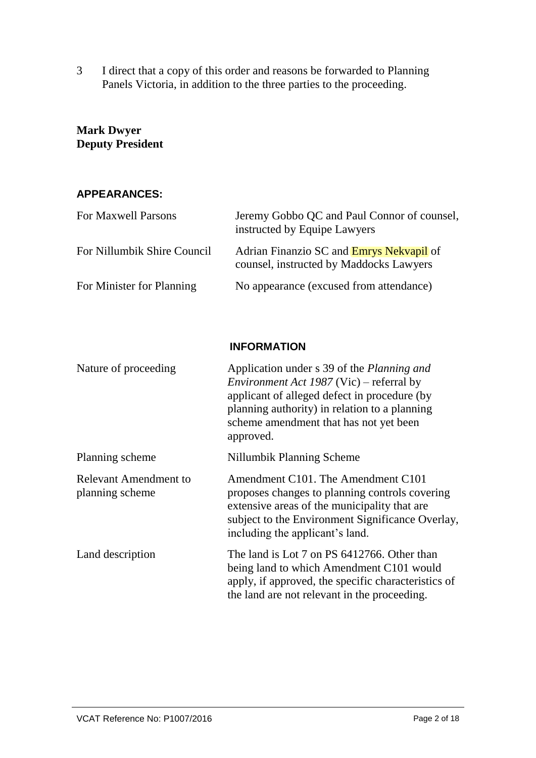3 I direct that a copy of this order and reasons be forwarded to Planning Panels Victoria, in addition to the three parties to the proceeding.

# **Mark Dwyer Deputy President**

### **APPEARANCES:**

| For Maxwell Parsons         | Jeremy Gobbo QC and Paul Connor of counsel,<br>instructed by Equipe Lawyers                |
|-----------------------------|--------------------------------------------------------------------------------------------|
| For Nillumbik Shire Council | Adrian Finanzio SC and <b>Emrys Nekvapil</b> of<br>counsel, instructed by Maddocks Lawyers |
| For Minister for Planning   | No appearance (excused from attendance)                                                    |

## **INFORMATION**

| Nature of proceeding                     | Application under s 39 of the Planning and<br><i>Environment Act 1987</i> (Vic) – referral by<br>applicant of alleged defect in procedure (by<br>planning authority) in relation to a planning<br>scheme amendment that has not yet been<br>approved. |
|------------------------------------------|-------------------------------------------------------------------------------------------------------------------------------------------------------------------------------------------------------------------------------------------------------|
| Planning scheme                          | Nillumbik Planning Scheme                                                                                                                                                                                                                             |
| Relevant Amendment to<br>planning scheme | Amendment C101. The Amendment C101<br>proposes changes to planning controls covering<br>extensive areas of the municipality that are<br>subject to the Environment Significance Overlay,<br>including the applicant's land.                           |
| Land description                         | The land is Lot 7 on PS 6412766. Other than<br>being land to which Amendment C101 would<br>apply, if approved, the specific characteristics of<br>the land are not relevant in the proceeding.                                                        |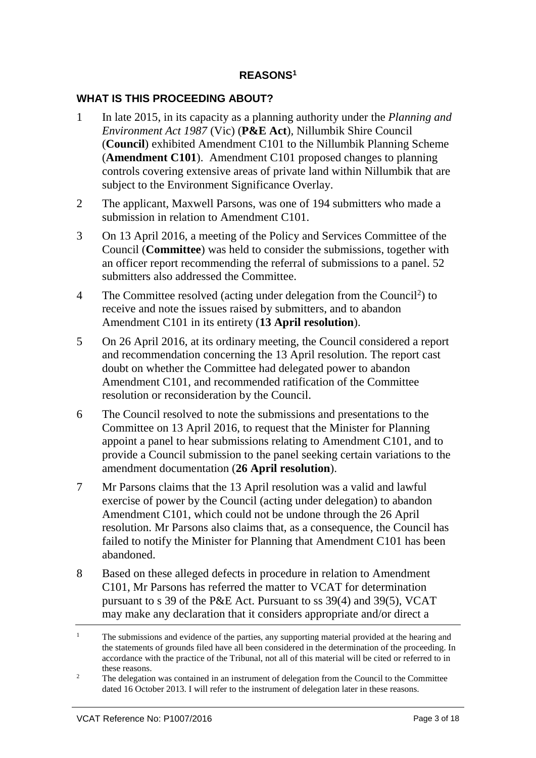### **REASONS<sup>1</sup>**

### **WHAT IS THIS PROCEEDING ABOUT?**

- 1 In late 2015, in its capacity as a planning authority under the *Planning and Environment Act 1987* (Vic) (**P&E Act**)*,* Nillumbik Shire Council (**Council**) exhibited Amendment C101 to the Nillumbik Planning Scheme (**Amendment C101**). Amendment C101 proposed changes to planning controls covering extensive areas of private land within Nillumbik that are subject to the Environment Significance Overlay.
- 2 The applicant, Maxwell Parsons, was one of 194 submitters who made a submission in relation to Amendment C101.
- 3 On 13 April 2016, a meeting of the Policy and Services Committee of the Council (**Committee**) was held to consider the submissions, together with an officer report recommending the referral of submissions to a panel. 52 submitters also addressed the Committee.
- 4 The Committee resolved (acting under delegation from the Council<sup>2</sup>) to receive and note the issues raised by submitters, and to abandon Amendment C101 in its entirety (**13 April resolution**).
- 5 On 26 April 2016, at its ordinary meeting, the Council considered a report and recommendation concerning the 13 April resolution. The report cast doubt on whether the Committee had delegated power to abandon Amendment C101, and recommended ratification of the Committee resolution or reconsideration by the Council.
- 6 The Council resolved to note the submissions and presentations to the Committee on 13 April 2016, to request that the Minister for Planning appoint a panel to hear submissions relating to Amendment C101, and to provide a Council submission to the panel seeking certain variations to the amendment documentation (**26 April resolution**).
- 7 Mr Parsons claims that the 13 April resolution was a valid and lawful exercise of power by the Council (acting under delegation) to abandon Amendment C101, which could not be undone through the 26 April resolution. Mr Parsons also claims that, as a consequence, the Council has failed to notify the Minister for Planning that Amendment C101 has been abandoned.
- 8 Based on these alleged defects in procedure in relation to Amendment C101, Mr Parsons has referred the matter to VCAT for determination pursuant to s 39 of the P&E Act. Pursuant to ss 39(4) and 39(5), VCAT may make any declaration that it considers appropriate and/or direct a

<sup>&</sup>lt;sup>1</sup> The submissions and evidence of the parties, any supporting material provided at the hearing and the statements of grounds filed have all been considered in the determination of the proceeding. In accordance with the practice of the Tribunal, not all of this material will be cited or referred to in these reasons.

<sup>&</sup>lt;sup>2</sup> The delegation was contained in an instrument of delegation from the Council to the Committee dated 16 October 2013. I will refer to the instrument of delegation later in these reasons.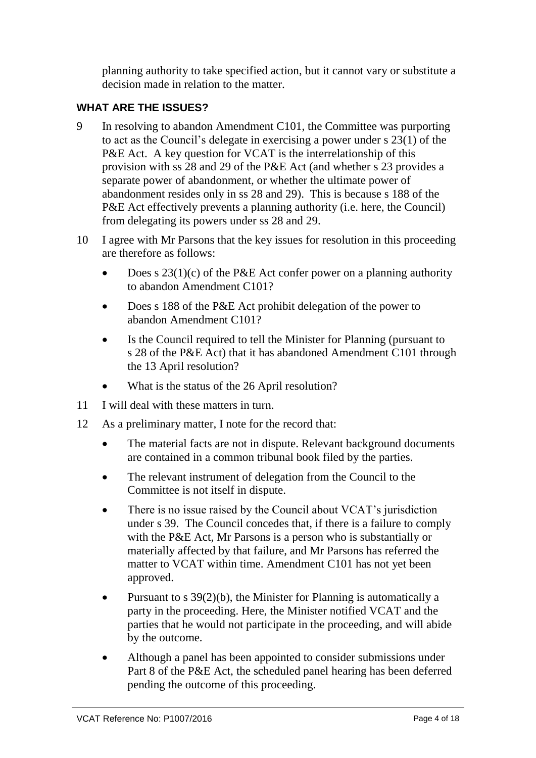planning authority to take specified action, but it cannot vary or substitute a decision made in relation to the matter.

# **WHAT ARE THE ISSUES?**

- 9 In resolving to abandon Amendment C101, the Committee was purporting to act as the Council's delegate in exercising a power under s 23(1) of the P&E Act. A key question for VCAT is the interrelationship of this provision with ss 28 and 29 of the P&E Act (and whether s 23 provides a separate power of abandonment, or whether the ultimate power of abandonment resides only in ss 28 and 29). This is because s 188 of the P&E Act effectively prevents a planning authority (i.e. here, the Council) from delegating its powers under ss 28 and 29.
- 10 I agree with Mr Parsons that the key issues for resolution in this proceeding are therefore as follows:
	- Does s  $23(1)(c)$  of the P&E Act confer power on a planning authority to abandon Amendment C101?
	- Does s 188 of the P&E Act prohibit delegation of the power to abandon Amendment C101?
	- Is the Council required to tell the Minister for Planning (pursuant to s 28 of the P&E Act) that it has abandoned Amendment C101 through the 13 April resolution?
	- What is the status of the 26 April resolution?
- 11 I will deal with these matters in turn.
- 12 As a preliminary matter, I note for the record that:
	- The material facts are not in dispute. Relevant background documents are contained in a common tribunal book filed by the parties.
	- The relevant instrument of delegation from the Council to the Committee is not itself in dispute.
	- There is no issue raised by the Council about VCAT's jurisdiction under s 39. The Council concedes that, if there is a failure to comply with the P&E Act, Mr Parsons is a person who is substantially or materially affected by that failure, and Mr Parsons has referred the matter to VCAT within time. Amendment C101 has not yet been approved.
	- Pursuant to s 39(2)(b), the Minister for Planning is automatically a party in the proceeding. Here, the Minister notified VCAT and the parties that he would not participate in the proceeding, and will abide by the outcome.
	- Although a panel has been appointed to consider submissions under Part 8 of the P&E Act, the scheduled panel hearing has been deferred pending the outcome of this proceeding.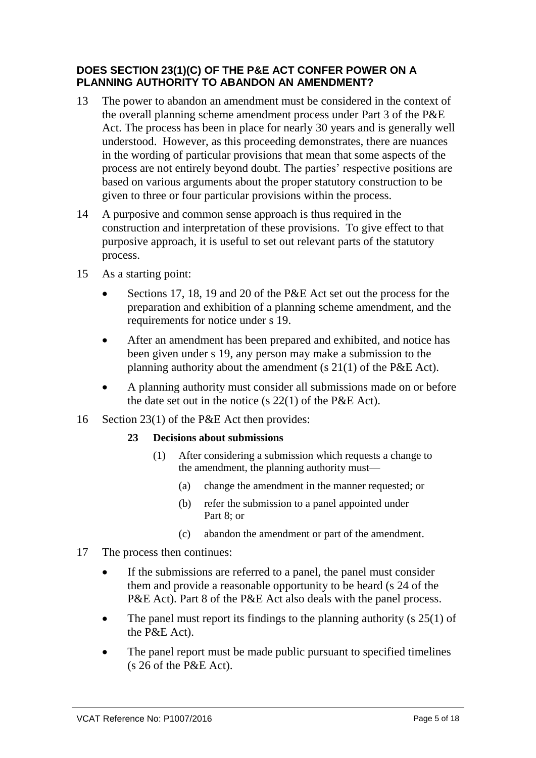## **DOES SECTION 23(1)(C) OF THE P&E ACT CONFER POWER ON A PLANNING AUTHORITY TO ABANDON AN AMENDMENT?**

- 13 The power to abandon an amendment must be considered in the context of the overall planning scheme amendment process under Part 3 of the P&E Act. The process has been in place for nearly 30 years and is generally well understood. However, as this proceeding demonstrates, there are nuances in the wording of particular provisions that mean that some aspects of the process are not entirely beyond doubt. The parties' respective positions are based on various arguments about the proper statutory construction to be given to three or four particular provisions within the process.
- 14 A purposive and common sense approach is thus required in the construction and interpretation of these provisions. To give effect to that purposive approach, it is useful to set out relevant parts of the statutory process.
- 15 As a starting point:
	- Sections 17, 18, 19 and 20 of the P&E Act set out the process for the preparation and exhibition of a planning scheme amendment, and the requirements for notice under s 19.
	- After an amendment has been prepared and exhibited, and notice has been given under s 19, any person may make a submission to the planning authority about the amendment (s 21(1) of the P&E Act).
	- A planning authority must consider all submissions made on or before the date set out in the notice (s 22(1) of the P&E Act).
- 16 Section 23(1) of the P&E Act then provides:

#### **23 Decisions about submissions**

- (1) After considering a submission which requests a change to the amendment, the planning authority must—
	- (a) change the amendment in the manner requested; or
	- (b) refer the submission to a panel appointed under Part 8; or
	- (c) abandon the amendment or part of the amendment.
- 17 The process then continues:
	- If the submissions are referred to a panel, the panel must consider them and provide a reasonable opportunity to be heard (s 24 of the P&E Act). Part 8 of the P&E Act also deals with the panel process.
	- The panel must report its findings to the planning authority (s  $25(1)$  of the P&E Act).
	- The panel report must be made public pursuant to specified timelines (s 26 of the P&E Act).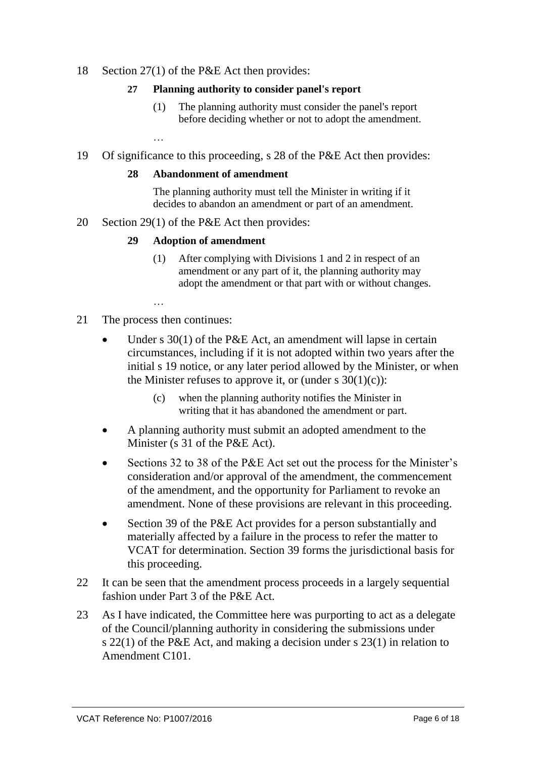### 18 Section 27(1) of the P&E Act then provides:

#### **27 Planning authority to consider panel's report**

- (1) The planning authority must consider the panel's report before deciding whether or not to adopt the amendment.
- 19 Of significance to this proceeding, s 28 of the P&E Act then provides:

#### **28 Abandonment of amendment**

The planning authority must tell the Minister in writing if it decides to abandon an amendment or part of an amendment.

20 Section 29(1) of the P&E Act then provides:

#### **29 Adoption of amendment**

(1) After complying with Divisions 1 and 2 in respect of an amendment or any part of it, the planning authority may adopt the amendment or that part with or without changes.

…

…

- 21 The process then continues:
	- Under s 30(1) of the P&E Act, an amendment will lapse in certain circumstances, including if it is not adopted within two years after the initial s 19 notice, or any later period allowed by the Minister, or when the Minister refuses to approve it, or (under s  $30(1)(c)$ ):
		- (c) when the planning authority notifies the Minister in writing that it has abandoned the amendment or part.
	- A planning authority must submit an adopted amendment to the Minister (s 31 of the P&E Act).
	- Sections 32 to 38 of the P&E Act set out the process for the Minister's consideration and/or approval of the amendment, the commencement of the amendment, and the opportunity for Parliament to revoke an amendment. None of these provisions are relevant in this proceeding.
	- Section 39 of the P&E Act provides for a person substantially and materially affected by a failure in the process to refer the matter to VCAT for determination. Section 39 forms the jurisdictional basis for this proceeding.
- 22 It can be seen that the amendment process proceeds in a largely sequential fashion under Part 3 of the P&E Act.
- 23 As I have indicated, the Committee here was purporting to act as a delegate of the Council/planning authority in considering the submissions under s 22(1) of the P&E Act, and making a decision under s 23(1) in relation to Amendment C101.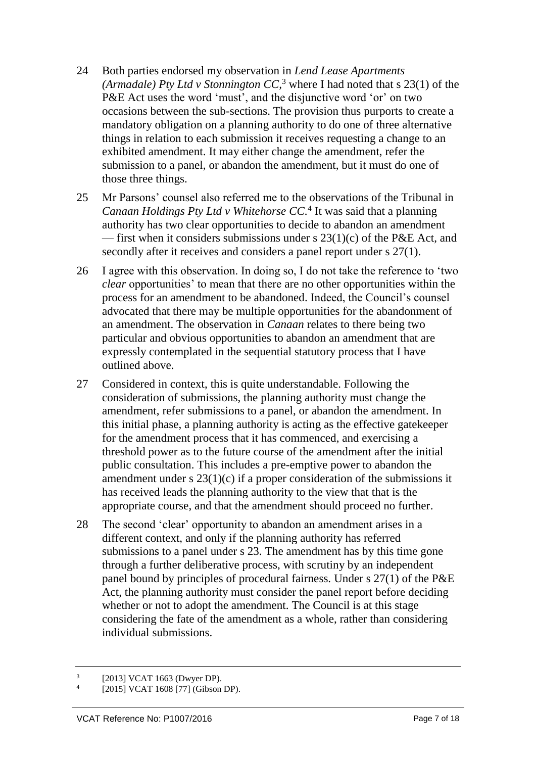- 24 Both parties endorsed my observation in *Lend Lease Apartments (Armadale) Pty Ltd v Stonnington CC*,<sup>3</sup> where I had noted that s 23(1) of the P&E Act uses the word 'must', and the disjunctive word 'or' on two occasions between the sub-sections. The provision thus purports to create a mandatory obligation on a planning authority to do one of three alternative things in relation to each submission it receives requesting a change to an exhibited amendment. It may either change the amendment, refer the submission to a panel, or abandon the amendment, but it must do one of those three things.
- 25 Mr Parsons' counsel also referred me to the observations of the Tribunal in *Canaan Holdings Pty Ltd v Whitehorse CC.* 4 It was said that a planning authority has two clear opportunities to decide to abandon an amendment — first when it considers submissions under s  $23(1)(c)$  of the P&E Act, and secondly after it receives and considers a panel report under s  $27(1)$ .
- 26 I agree with this observation. In doing so, I do not take the reference to 'two *clear* opportunities' to mean that there are no other opportunities within the process for an amendment to be abandoned. Indeed, the Council's counsel advocated that there may be multiple opportunities for the abandonment of an amendment. The observation in *Canaan* relates to there being two particular and obvious opportunities to abandon an amendment that are expressly contemplated in the sequential statutory process that I have outlined above.
- 27 Considered in context, this is quite understandable. Following the consideration of submissions, the planning authority must change the amendment, refer submissions to a panel, or abandon the amendment. In this initial phase, a planning authority is acting as the effective gatekeeper for the amendment process that it has commenced, and exercising a threshold power as to the future course of the amendment after the initial public consultation. This includes a pre-emptive power to abandon the amendment under s  $23(1)(c)$  if a proper consideration of the submissions it has received leads the planning authority to the view that that is the appropriate course, and that the amendment should proceed no further.
- 28 The second 'clear' opportunity to abandon an amendment arises in a different context, and only if the planning authority has referred submissions to a panel under s 23. The amendment has by this time gone through a further deliberative process, with scrutiny by an independent panel bound by principles of procedural fairness. Under s 27(1) of the P&E Act, the planning authority must consider the panel report before deciding whether or not to adopt the amendment. The Council is at this stage considering the fate of the amendment as a whole, rather than considering individual submissions.

<sup>3</sup> [2013] VCAT 1663 (Dwyer DP).

<sup>4</sup> [2015] VCAT 1608 [77] (Gibson DP).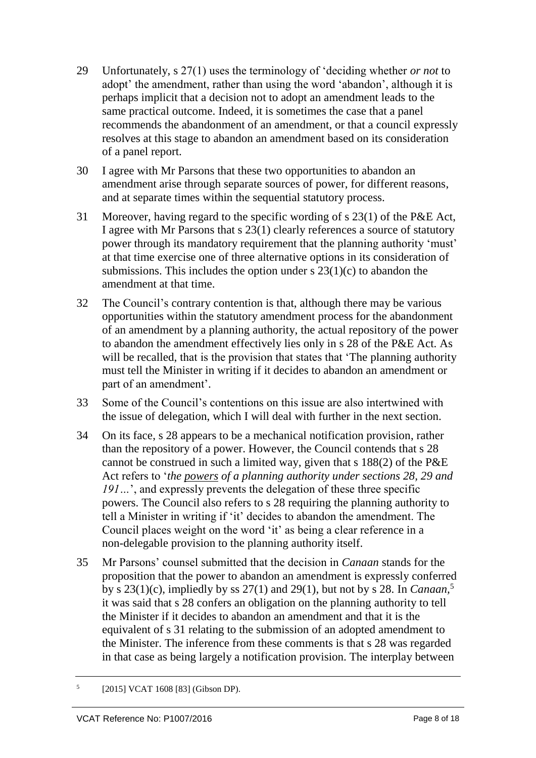- 29 Unfortunately, s 27(1) uses the terminology of 'deciding whether *or not* to adopt' the amendment, rather than using the word 'abandon', although it is perhaps implicit that a decision not to adopt an amendment leads to the same practical outcome. Indeed, it is sometimes the case that a panel recommends the abandonment of an amendment, or that a council expressly resolves at this stage to abandon an amendment based on its consideration of a panel report.
- 30 I agree with Mr Parsons that these two opportunities to abandon an amendment arise through separate sources of power, for different reasons, and at separate times within the sequential statutory process.
- 31 Moreover, having regard to the specific wording of s 23(1) of the P&E Act, I agree with Mr Parsons that s 23(1) clearly references a source of statutory power through its mandatory requirement that the planning authority 'must' at that time exercise one of three alternative options in its consideration of submissions. This includes the option under  $s$  23(1)(c) to abandon the amendment at that time.
- 32 The Council's contrary contention is that, although there may be various opportunities within the statutory amendment process for the abandonment of an amendment by a planning authority, the actual repository of the power to abandon the amendment effectively lies only in s 28 of the P&E Act. As will be recalled, that is the provision that states that 'The planning authority must tell the Minister in writing if it decides to abandon an amendment or part of an amendment'.
- 33 Some of the Council's contentions on this issue are also intertwined with the issue of delegation, which I will deal with further in the next section.
- 34 On its face, s 28 appears to be a mechanical notification provision, rather than the repository of a power. However, the Council contends that s 28 cannot be construed in such a limited way, given that s 188(2) of the P&E Act refers to '*the powers of a planning authority under sections 28, 29 and 191…*', and expressly prevents the delegation of these three specific powers. The Council also refers to s 28 requiring the planning authority to tell a Minister in writing if 'it' decides to abandon the amendment. The Council places weight on the word 'it' as being a clear reference in a non-delegable provision to the planning authority itself.
- 35 Mr Parsons' counsel submitted that the decision in *Canaan* stands for the proposition that the power to abandon an amendment is expressly conferred by s 23(1)(c), impliedly by ss 27(1) and 29(1), but not by s 28. In *Canaan,* 5 it was said that s 28 confers an obligation on the planning authority to tell the Minister if it decides to abandon an amendment and that it is the equivalent of s 31 relating to the submission of an adopted amendment to the Minister. The inference from these comments is that s 28 was regarded in that case as being largely a notification provision. The interplay between

<sup>5</sup> [2015] VCAT 1608 [83] (Gibson DP).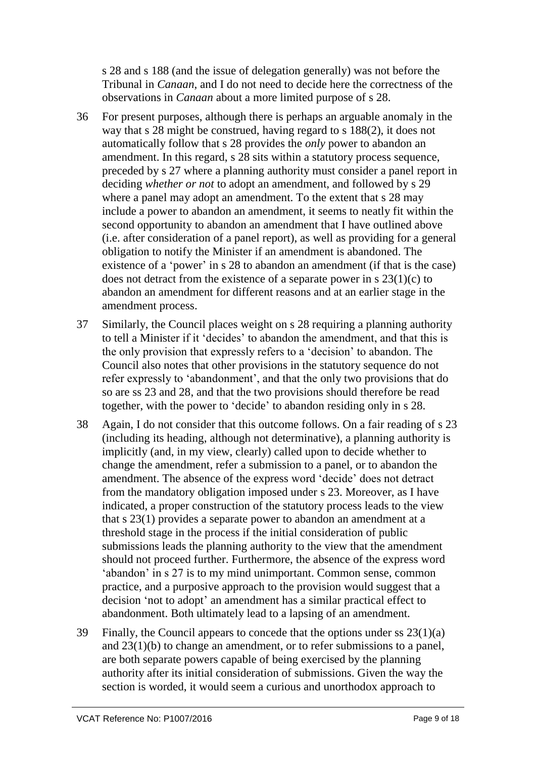s 28 and s 188 (and the issue of delegation generally) was not before the Tribunal in *Canaan*, and I do not need to decide here the correctness of the observations in *Canaan* about a more limited purpose of s 28.

- 36 For present purposes, although there is perhaps an arguable anomaly in the way that s 28 might be construed, having regard to s 188(2), it does not automatically follow that s 28 provides the *only* power to abandon an amendment. In this regard, s 28 sits within a statutory process sequence, preceded by s 27 where a planning authority must consider a panel report in deciding *whether or not* to adopt an amendment, and followed by s 29 where a panel may adopt an amendment. To the extent that s 28 may include a power to abandon an amendment, it seems to neatly fit within the second opportunity to abandon an amendment that I have outlined above (i.e. after consideration of a panel report), as well as providing for a general obligation to notify the Minister if an amendment is abandoned. The existence of a 'power' in s 28 to abandon an amendment (if that is the case) does not detract from the existence of a separate power in s  $23(1)(c)$  to abandon an amendment for different reasons and at an earlier stage in the amendment process.
- 37 Similarly, the Council places weight on s 28 requiring a planning authority to tell a Minister if it 'decides' to abandon the amendment, and that this is the only provision that expressly refers to a 'decision' to abandon. The Council also notes that other provisions in the statutory sequence do not refer expressly to 'abandonment', and that the only two provisions that do so are ss 23 and 28, and that the two provisions should therefore be read together, with the power to 'decide' to abandon residing only in s 28.
- 38 Again, I do not consider that this outcome follows. On a fair reading of s 23 (including its heading, although not determinative), a planning authority is implicitly (and, in my view, clearly) called upon to decide whether to change the amendment, refer a submission to a panel, or to abandon the amendment. The absence of the express word 'decide' does not detract from the mandatory obligation imposed under s 23. Moreover, as I have indicated, a proper construction of the statutory process leads to the view that s 23(1) provides a separate power to abandon an amendment at a threshold stage in the process if the initial consideration of public submissions leads the planning authority to the view that the amendment should not proceed further. Furthermore, the absence of the express word 'abandon' in s 27 is to my mind unimportant. Common sense, common practice, and a purposive approach to the provision would suggest that a decision 'not to adopt' an amendment has a similar practical effect to abandonment. Both ultimately lead to a lapsing of an amendment.
- 39 Finally, the Council appears to concede that the options under ss  $23(1)(a)$ and 23(1)(b) to change an amendment, or to refer submissions to a panel, are both separate powers capable of being exercised by the planning authority after its initial consideration of submissions. Given the way the section is worded, it would seem a curious and unorthodox approach to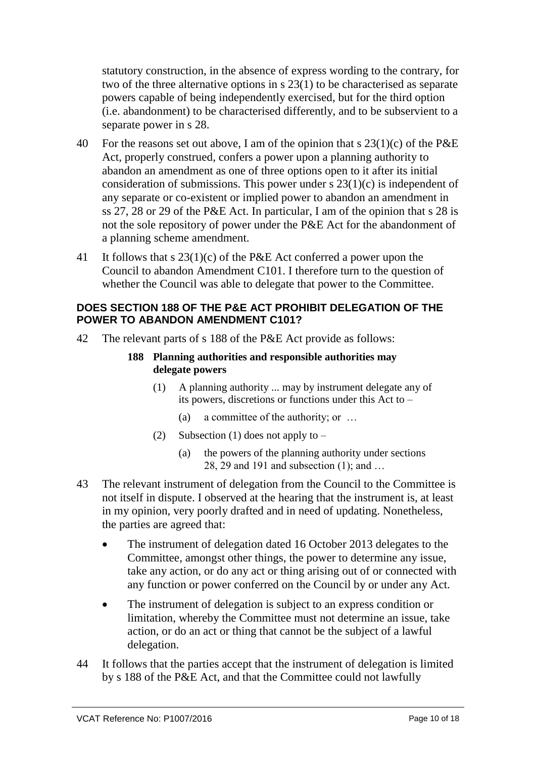statutory construction, in the absence of express wording to the contrary, for two of the three alternative options in s 23(1) to be characterised as separate powers capable of being independently exercised, but for the third option (i.e. abandonment) to be characterised differently, and to be subservient to a separate power in s 28.

- 40 For the reasons set out above, I am of the opinion that s  $23(1)(c)$  of the P&E Act, properly construed, confers a power upon a planning authority to abandon an amendment as one of three options open to it after its initial consideration of submissions. This power under  $\frac{1}{2}$  23(1)(c) is independent of any separate or co-existent or implied power to abandon an amendment in ss 27, 28 or 29 of the P&E Act. In particular, I am of the opinion that s 28 is not the sole repository of power under the P&E Act for the abandonment of a planning scheme amendment.
- 41 It follows that s 23(1)(c) of the P&E Act conferred a power upon the Council to abandon Amendment C101. I therefore turn to the question of whether the Council was able to delegate that power to the Committee.

### **DOES SECTION 188 OF THE P&E ACT PROHIBIT DELEGATION OF THE POWER TO ABANDON AMENDMENT C101?**

42 The relevant parts of s 188 of the P&E Act provide as follows:

### **188 Planning authorities and responsible authorities may delegate powers**

- (1) A planning authority ... may by instrument delegate any of its powers, discretions or functions under this Act to –
	- (a) a committee of the authority; or …
- (2) Subsection (1) does not apply to  $-$ 
	- (a) the powers of the planning authority under sections 28, 29 and 191 and subsection (1); and …
- 43 The relevant instrument of delegation from the Council to the Committee is not itself in dispute. I observed at the hearing that the instrument is, at least in my opinion, very poorly drafted and in need of updating. Nonetheless, the parties are agreed that:
	- The instrument of delegation dated 16 October 2013 delegates to the Committee, amongst other things, the power to determine any issue, take any action, or do any act or thing arising out of or connected with any function or power conferred on the Council by or under any Act.
	- The instrument of delegation is subject to an express condition or limitation, whereby the Committee must not determine an issue, take action, or do an act or thing that cannot be the subject of a lawful delegation.
- 44 It follows that the parties accept that the instrument of delegation is limited by s 188 of the P&E Act, and that the Committee could not lawfully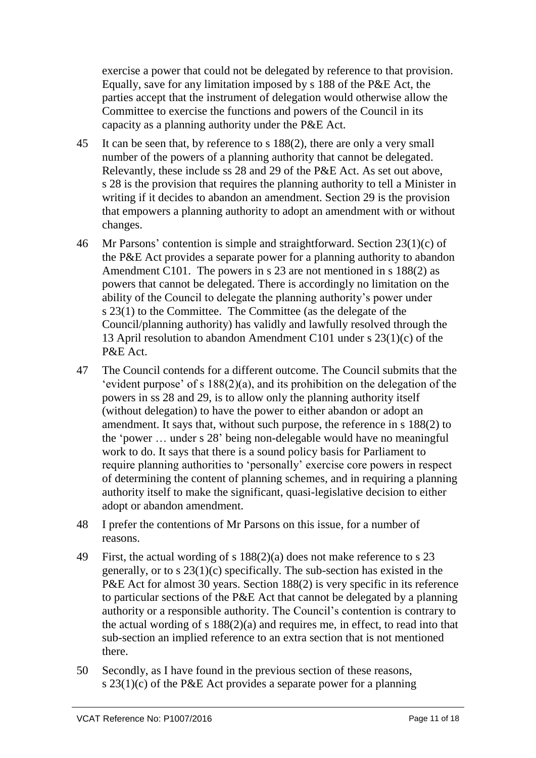exercise a power that could not be delegated by reference to that provision. Equally, save for any limitation imposed by s 188 of the P&E Act, the parties accept that the instrument of delegation would otherwise allow the Committee to exercise the functions and powers of the Council in its capacity as a planning authority under the P&E Act.

- 45 It can be seen that, by reference to s 188(2), there are only a very small number of the powers of a planning authority that cannot be delegated. Relevantly, these include ss 28 and 29 of the P&E Act. As set out above, s 28 is the provision that requires the planning authority to tell a Minister in writing if it decides to abandon an amendment. Section 29 is the provision that empowers a planning authority to adopt an amendment with or without changes.
- 46 Mr Parsons' contention is simple and straightforward. Section 23(1)(c) of the P&E Act provides a separate power for a planning authority to abandon Amendment C101. The powers in s 23 are not mentioned in s 188(2) as powers that cannot be delegated. There is accordingly no limitation on the ability of the Council to delegate the planning authority's power under s 23(1) to the Committee. The Committee (as the delegate of the Council/planning authority) has validly and lawfully resolved through the 13 April resolution to abandon Amendment C101 under s 23(1)(c) of the P&E Act.
- 47 The Council contends for a different outcome. The Council submits that the 'evident purpose' of s 188(2)(a), and its prohibition on the delegation of the powers in ss 28 and 29, is to allow only the planning authority itself (without delegation) to have the power to either abandon or adopt an amendment. It says that, without such purpose, the reference in s 188(2) to the 'power … under s 28' being non-delegable would have no meaningful work to do. It says that there is a sound policy basis for Parliament to require planning authorities to 'personally' exercise core powers in respect of determining the content of planning schemes, and in requiring a planning authority itself to make the significant, quasi-legislative decision to either adopt or abandon amendment.
- 48 I prefer the contentions of Mr Parsons on this issue, for a number of reasons.
- 49 First, the actual wording of s 188(2)(a) does not make reference to s 23 generally, or to s 23(1)(c) specifically. The sub-section has existed in the P&E Act for almost 30 years. Section 188(2) is very specific in its reference to particular sections of the P&E Act that cannot be delegated by a planning authority or a responsible authority. The Council's contention is contrary to the actual wording of s 188(2)(a) and requires me, in effect, to read into that sub-section an implied reference to an extra section that is not mentioned there.
- 50 Secondly, as I have found in the previous section of these reasons, s 23(1)(c) of the P&E Act provides a separate power for a planning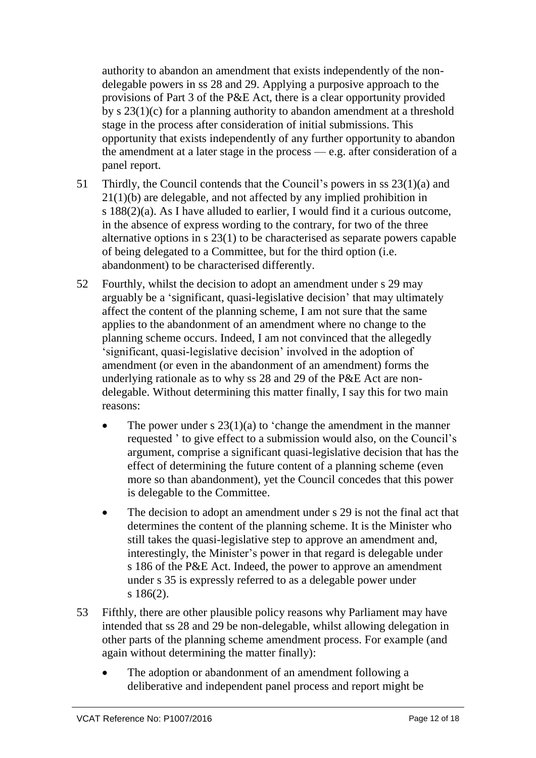authority to abandon an amendment that exists independently of the nondelegable powers in ss 28 and 29. Applying a purposive approach to the provisions of Part 3 of the P&E Act, there is a clear opportunity provided by s 23(1)(c) for a planning authority to abandon amendment at a threshold stage in the process after consideration of initial submissions. This opportunity that exists independently of any further opportunity to abandon the amendment at a later stage in the process — e.g. after consideration of a panel report.

- 51 Thirdly, the Council contends that the Council's powers in ss 23(1)(a) and 21(1)(b) are delegable, and not affected by any implied prohibition in s 188(2)(a). As I have alluded to earlier, I would find it a curious outcome, in the absence of express wording to the contrary, for two of the three alternative options in s 23(1) to be characterised as separate powers capable of being delegated to a Committee, but for the third option (i.e. abandonment) to be characterised differently.
- 52 Fourthly, whilst the decision to adopt an amendment under s 29 may arguably be a 'significant, quasi-legislative decision' that may ultimately affect the content of the planning scheme, I am not sure that the same applies to the abandonment of an amendment where no change to the planning scheme occurs. Indeed, I am not convinced that the allegedly 'significant, quasi-legislative decision' involved in the adoption of amendment (or even in the abandonment of an amendment) forms the underlying rationale as to why ss 28 and 29 of the P&E Act are nondelegable. Without determining this matter finally, I say this for two main reasons:
	- The power under s  $23(1)(a)$  to 'change the amendment in the manner requested ' to give effect to a submission would also, on the Council's argument, comprise a significant quasi-legislative decision that has the effect of determining the future content of a planning scheme (even more so than abandonment), yet the Council concedes that this power is delegable to the Committee.
	- The decision to adopt an amendment under s 29 is not the final act that determines the content of the planning scheme. It is the Minister who still takes the quasi-legislative step to approve an amendment and, interestingly, the Minister's power in that regard is delegable under s 186 of the P&E Act. Indeed, the power to approve an amendment under s 35 is expressly referred to as a delegable power under s 186(2).
- 53 Fifthly, there are other plausible policy reasons why Parliament may have intended that ss 28 and 29 be non-delegable, whilst allowing delegation in other parts of the planning scheme amendment process. For example (and again without determining the matter finally):
	- The adoption or abandonment of an amendment following a deliberative and independent panel process and report might be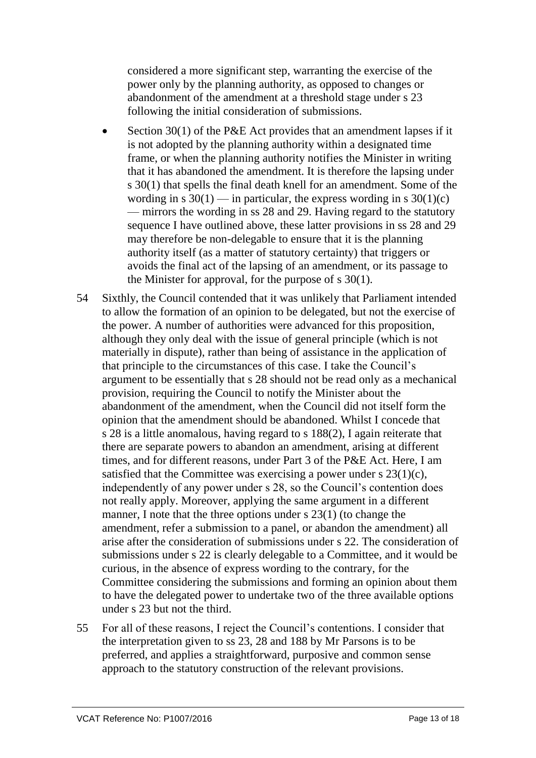considered a more significant step, warranting the exercise of the power only by the planning authority, as opposed to changes or abandonment of the amendment at a threshold stage under s 23 following the initial consideration of submissions.

- Section 30(1) of the P&E Act provides that an amendment lapses if it is not adopted by the planning authority within a designated time frame, or when the planning authority notifies the Minister in writing that it has abandoned the amendment. It is therefore the lapsing under s 30(1) that spells the final death knell for an amendment. Some of the wording in s  $30(1)$  — in particular, the express wording in s  $30(1)(c)$ — mirrors the wording in ss 28 and 29. Having regard to the statutory sequence I have outlined above, these latter provisions in ss 28 and 29 may therefore be non-delegable to ensure that it is the planning authority itself (as a matter of statutory certainty) that triggers or avoids the final act of the lapsing of an amendment, or its passage to the Minister for approval, for the purpose of s 30(1).
- 54 Sixthly, the Council contended that it was unlikely that Parliament intended to allow the formation of an opinion to be delegated, but not the exercise of the power. A number of authorities were advanced for this proposition, although they only deal with the issue of general principle (which is not materially in dispute), rather than being of assistance in the application of that principle to the circumstances of this case. I take the Council's argument to be essentially that s 28 should not be read only as a mechanical provision, requiring the Council to notify the Minister about the abandonment of the amendment, when the Council did not itself form the opinion that the amendment should be abandoned. Whilst I concede that s 28 is a little anomalous, having regard to s 188(2), I again reiterate that there are separate powers to abandon an amendment, arising at different times, and for different reasons, under Part 3 of the P&E Act. Here, I am satisfied that the Committee was exercising a power under  $s$  23(1)(c), independently of any power under s 28, so the Council's contention does not really apply. Moreover, applying the same argument in a different manner, I note that the three options under s 23(1) (to change the amendment, refer a submission to a panel, or abandon the amendment) all arise after the consideration of submissions under s 22. The consideration of submissions under s 22 is clearly delegable to a Committee, and it would be curious, in the absence of express wording to the contrary, for the Committee considering the submissions and forming an opinion about them to have the delegated power to undertake two of the three available options under s 23 but not the third.
- 55 For all of these reasons, I reject the Council's contentions. I consider that the interpretation given to ss 23, 28 and 188 by Mr Parsons is to be preferred, and applies a straightforward, purposive and common sense approach to the statutory construction of the relevant provisions.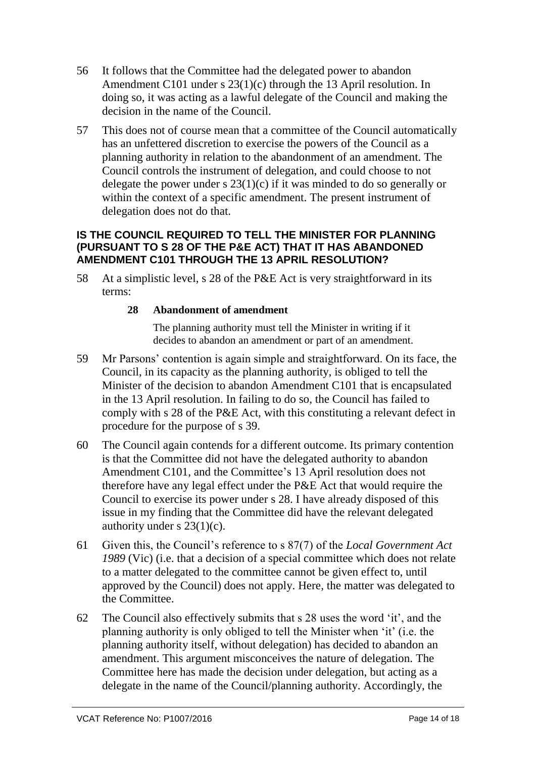- 56 It follows that the Committee had the delegated power to abandon Amendment C101 under s 23(1)(c) through the 13 April resolution. In doing so, it was acting as a lawful delegate of the Council and making the decision in the name of the Council.
- 57 This does not of course mean that a committee of the Council automatically has an unfettered discretion to exercise the powers of the Council as a planning authority in relation to the abandonment of an amendment. The Council controls the instrument of delegation, and could choose to not delegate the power under s  $23(1)(c)$  if it was minded to do so generally or within the context of a specific amendment. The present instrument of delegation does not do that.

## **IS THE COUNCIL REQUIRED TO TELL THE MINISTER FOR PLANNING (PURSUANT TO S 28 OF THE P&E ACT) THAT IT HAS ABANDONED AMENDMENT C101 THROUGH THE 13 APRIL RESOLUTION?**

58 At a simplistic level, s 28 of the P&E Act is very straightforward in its terms:

# **28 Abandonment of amendment**

The planning authority must tell the Minister in writing if it decides to abandon an amendment or part of an amendment.

- 59 Mr Parsons' contention is again simple and straightforward. On its face, the Council, in its capacity as the planning authority, is obliged to tell the Minister of the decision to abandon Amendment C101 that is encapsulated in the 13 April resolution. In failing to do so, the Council has failed to comply with s 28 of the P&E Act, with this constituting a relevant defect in procedure for the purpose of s 39.
- 60 The Council again contends for a different outcome. Its primary contention is that the Committee did not have the delegated authority to abandon Amendment C101, and the Committee's 13 April resolution does not therefore have any legal effect under the P&E Act that would require the Council to exercise its power under s 28. I have already disposed of this issue in my finding that the Committee did have the relevant delegated authority under s  $23(1)(c)$ .
- 61 Given this, the Council's reference to s 87(7) of the *Local Government Act 1989* (Vic) (i.e. that a decision of a special committee which does not relate to a matter delegated to the committee cannot be given effect to, until approved by the Council) does not apply. Here, the matter was delegated to the Committee.
- 62 The Council also effectively submits that s 28 uses the word 'it', and the planning authority is only obliged to tell the Minister when 'it' (i.e. the planning authority itself, without delegation) has decided to abandon an amendment. This argument misconceives the nature of delegation. The Committee here has made the decision under delegation, but acting as a delegate in the name of the Council/planning authority. Accordingly, the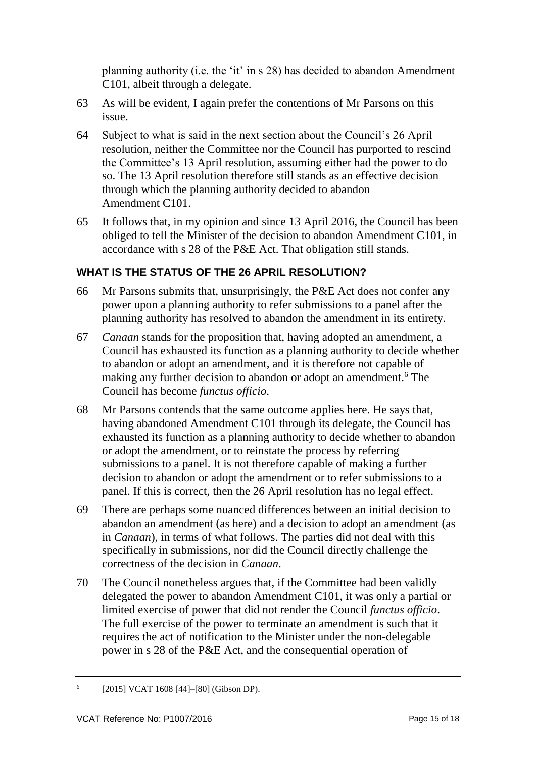planning authority (i.e. the 'it' in s 28) has decided to abandon Amendment C101, albeit through a delegate.

- 63 As will be evident, I again prefer the contentions of Mr Parsons on this issue.
- 64 Subject to what is said in the next section about the Council's 26 April resolution, neither the Committee nor the Council has purported to rescind the Committee's 13 April resolution, assuming either had the power to do so. The 13 April resolution therefore still stands as an effective decision through which the planning authority decided to abandon Amendment C101.
- 65 It follows that, in my opinion and since 13 April 2016, the Council has been obliged to tell the Minister of the decision to abandon Amendment C101, in accordance with s 28 of the P&E Act. That obligation still stands.

# **WHAT IS THE STATUS OF THE 26 APRIL RESOLUTION?**

- 66 Mr Parsons submits that, unsurprisingly, the P&E Act does not confer any power upon a planning authority to refer submissions to a panel after the planning authority has resolved to abandon the amendment in its entirety.
- 67 *Canaan* stands for the proposition that, having adopted an amendment, a Council has exhausted its function as a planning authority to decide whether to abandon or adopt an amendment, and it is therefore not capable of making any further decision to abandon or adopt an amendment. <sup>6</sup> The Council has become *functus officio*.
- 68 Mr Parsons contends that the same outcome applies here. He says that, having abandoned Amendment C101 through its delegate, the Council has exhausted its function as a planning authority to decide whether to abandon or adopt the amendment, or to reinstate the process by referring submissions to a panel. It is not therefore capable of making a further decision to abandon or adopt the amendment or to refer submissions to a panel. If this is correct, then the 26 April resolution has no legal effect.
- 69 There are perhaps some nuanced differences between an initial decision to abandon an amendment (as here) and a decision to adopt an amendment (as in *Canaan*), in terms of what follows. The parties did not deal with this specifically in submissions, nor did the Council directly challenge the correctness of the decision in *Canaan*.
- 70 The Council nonetheless argues that, if the Committee had been validly delegated the power to abandon Amendment C101, it was only a partial or limited exercise of power that did not render the Council *functus officio*. The full exercise of the power to terminate an amendment is such that it requires the act of notification to the Minister under the non-delegable power in s 28 of the P&E Act, and the consequential operation of

<sup>6</sup> [2015] VCAT 1608 [44]-[80] (Gibson DP).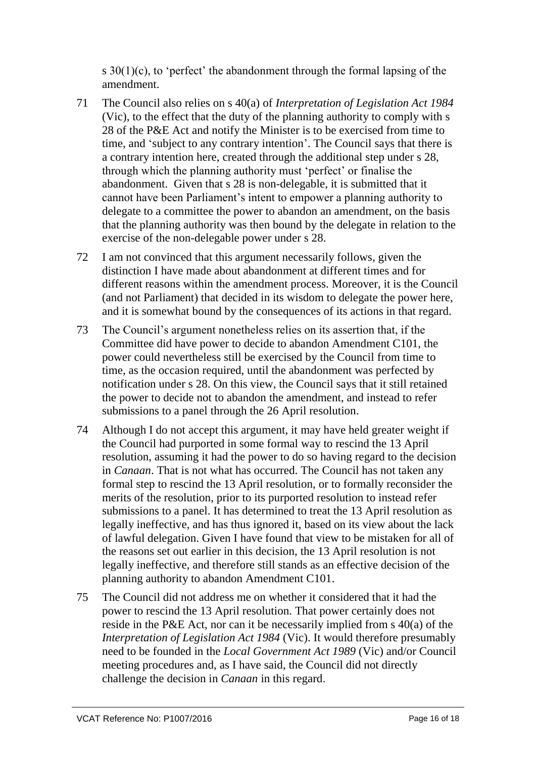s 30(1)(c), to 'perfect' the abandonment through the formal lapsing of the amendment.

- 71 The Council also relies on s 40(a) of *Interpretation of Legislation Act 1984* (Vic), to the effect that the duty of the planning authority to comply with s 28 of the P&E Act and notify the Minister is to be exercised from time to time, and 'subject to any contrary intention'. The Council says that there is a contrary intention here, created through the additional step under s 28, through which the planning authority must 'perfect' or finalise the abandonment. Given that s 28 is non-delegable, it is submitted that it cannot have been Parliament's intent to empower a planning authority to delegate to a committee the power to abandon an amendment, on the basis that the planning authority was then bound by the delegate in relation to the exercise of the non-delegable power under s 28.
- 72 I am not convinced that this argument necessarily follows, given the distinction I have made about abandonment at different times and for different reasons within the amendment process. Moreover, it is the Council (and not Parliament) that decided in its wisdom to delegate the power here, and it is somewhat bound by the consequences of its actions in that regard.
- 73 The Council's argument nonetheless relies on its assertion that, if the Committee did have power to decide to abandon Amendment C101, the power could nevertheless still be exercised by the Council from time to time, as the occasion required, until the abandonment was perfected by notification under s 28. On this view, the Council says that it still retained the power to decide not to abandon the amendment, and instead to refer submissions to a panel through the 26 April resolution.
- 74 Although I do not accept this argument, it may have held greater weight if the Council had purported in some formal way to rescind the 13 April resolution, assuming it had the power to do so having regard to the decision in *Canaan*. That is not what has occurred. The Council has not taken any formal step to rescind the 13 April resolution, or to formally reconsider the merits of the resolution, prior to its purported resolution to instead refer submissions to a panel. It has determined to treat the 13 April resolution as legally ineffective, and has thus ignored it, based on its view about the lack of lawful delegation. Given I have found that view to be mistaken for all of the reasons set out earlier in this decision, the 13 April resolution is not legally ineffective, and therefore still stands as an effective decision of the planning authority to abandon Amendment C101.
- 75 The Council did not address me on whether it considered that it had the power to rescind the 13 April resolution. That power certainly does not reside in the P&E Act, nor can it be necessarily implied from s 40(a) of the *Interpretation of Legislation Act 1984* (Vic). It would therefore presumably need to be founded in the *Local Government Act 1989* (Vic) and/or Council meeting procedures and, as I have said, the Council did not directly challenge the decision in *Canaan* in this regard.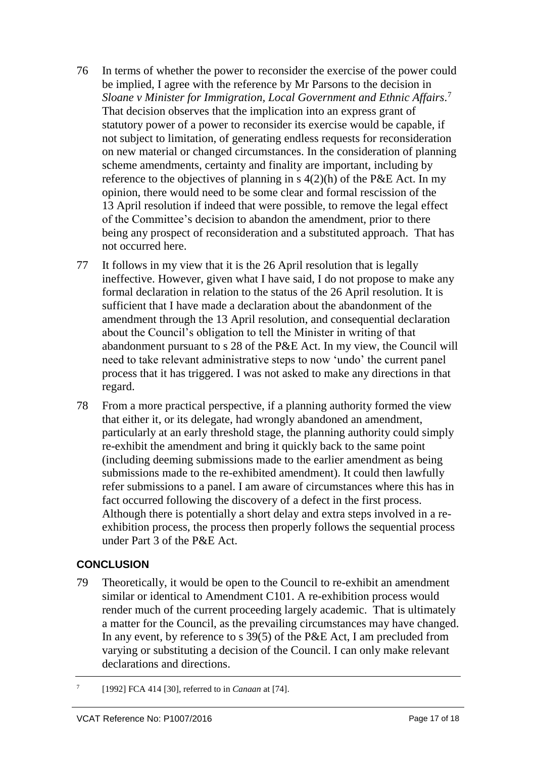- 76 In terms of whether the power to reconsider the exercise of the power could be implied, I agree with the reference by Mr Parsons to the decision in *Sloane v Minister for Immigration, Local Government and Ethnic Affairs.* 7 That decision observes that the implication into an express grant of statutory power of a power to reconsider its exercise would be capable, if not subject to limitation, of generating endless requests for reconsideration on new material or changed circumstances. In the consideration of planning scheme amendments, certainty and finality are important, including by reference to the objectives of planning in s  $4(2)(h)$  of the P&E Act. In my opinion, there would need to be some clear and formal rescission of the 13 April resolution if indeed that were possible, to remove the legal effect of the Committee's decision to abandon the amendment, prior to there being any prospect of reconsideration and a substituted approach. That has not occurred here.
- 77 It follows in my view that it is the 26 April resolution that is legally ineffective. However, given what I have said, I do not propose to make any formal declaration in relation to the status of the 26 April resolution. It is sufficient that I have made a declaration about the abandonment of the amendment through the 13 April resolution, and consequential declaration about the Council's obligation to tell the Minister in writing of that abandonment pursuant to s 28 of the P&E Act. In my view, the Council will need to take relevant administrative steps to now 'undo' the current panel process that it has triggered. I was not asked to make any directions in that regard.
- 78 From a more practical perspective, if a planning authority formed the view that either it, or its delegate, had wrongly abandoned an amendment, particularly at an early threshold stage, the planning authority could simply re-exhibit the amendment and bring it quickly back to the same point (including deeming submissions made to the earlier amendment as being submissions made to the re-exhibited amendment). It could then lawfully refer submissions to a panel. I am aware of circumstances where this has in fact occurred following the discovery of a defect in the first process. Although there is potentially a short delay and extra steps involved in a reexhibition process, the process then properly follows the sequential process under Part 3 of the P&E Act.

# **CONCLUSION**

- 79 Theoretically, it would be open to the Council to re-exhibit an amendment similar or identical to Amendment C101. A re-exhibition process would render much of the current proceeding largely academic. That is ultimately a matter for the Council, as the prevailing circumstances may have changed. In any event, by reference to s 39(5) of the P&E Act, I am precluded from varying or substituting a decision of the Council. I can only make relevant declarations and directions.
- 7 [1992] FCA 414 [30], referred to in *Canaan* at [74].